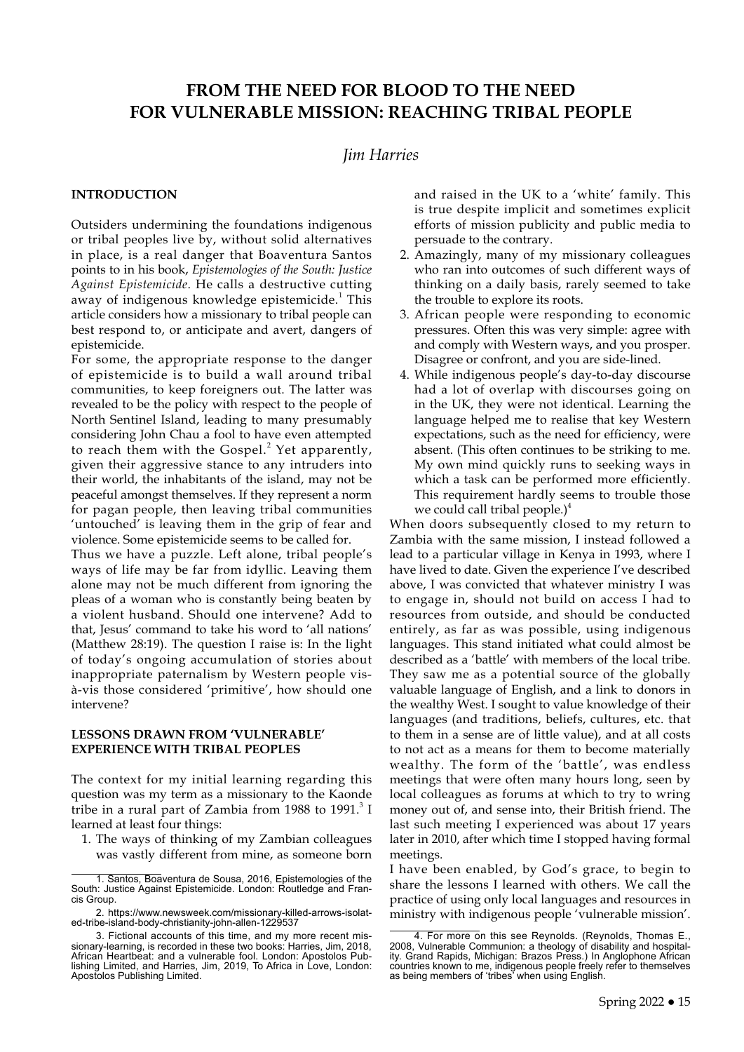### **FROM THE NEED FOR BLOOD TO THE NEED FOR VULNERABLE MISSION: REACHING TRIBAL PEOPLE**

### *Jim Harries*

#### **INTRODUCTION**

Outsiders undermining the foundations indigenous or tribal peoples live by, without solid alternatives in place, is a real danger that Boaventura Santos points to in his book, *Epistemologies of the South: Justice Against Epistemicide*. He calls a destructive cutting away of indigenous knowledge epistemicide.<sup>1</sup> This article considers how a missionary to tribal people can best respond to, or anticipate and avert, dangers of epistemicide.

For some, the appropriate response to the danger of epistemicide is to build a wall around tribal communities, to keep foreigners out. The latter was revealed to be the policy with respect to the people of North Sentinel Island, leading to many presumably considering John Chau a fool to have even attempted to reach them with the Gospel. $<sup>2</sup>$  Yet apparently,</sup> given their aggressive stance to any intruders into their world, the inhabitants of the island, may not be peaceful amongst themselves. If they represent a norm for pagan people, then leaving tribal communities 'untouched' is leaving them in the grip of fear and violence. Some epistemicide seems to be called for.

Thus we have a puzzle. Left alone, tribal people's ways of life may be far from idyllic. Leaving them alone may not be much different from ignoring the pleas of a woman who is constantly being beaten by a violent husband. Should one intervene? Add to that, Jesus' command to take his word to 'all nations' (Matthew 28:19). The question I raise is: In the light of today's ongoing accumulation of stories about inappropriate paternalism by Western people visà-vis those considered 'primitive', how should one intervene?

#### **LESSONS DRAWN FROM 'VULNERABLE' EXPERIENCE WITH TRIBAL PEOPLES**

The context for my initial learning regarding this question was my term as a missionary to the Kaonde tribe in a rural part of Zambia from 1988 to 1991. $3$  I learned at least four things:

1. The ways of thinking of my Zambian colleagues was vastly different from mine, as someone born and raised in the UK to a 'white' family. This is true despite implicit and sometimes explicit efforts of mission publicity and public media to persuade to the contrary.

- 2. Amazingly, many of my missionary colleagues who ran into outcomes of such different ways of thinking on a daily basis, rarely seemed to take the trouble to explore its roots.
- 3. African people were responding to economic pressures. Often this was very simple: agree with and comply with Western ways, and you prosper. Disagree or confront, and you are side-lined.
- 4. While indigenous people's day-to-day discourse had a lot of overlap with discourses going on in the UK, they were not identical. Learning the language helped me to realise that key Western expectations, such as the need for efficiency, were absent. (This often continues to be striking to me. My own mind quickly runs to seeking ways in which a task can be performed more efficiently. This requirement hardly seems to trouble those we could call tribal people. $)^4$

When doors subsequently closed to my return to Zambia with the same mission, I instead followed a lead to a particular village in Kenya in 1993, where I have lived to date. Given the experience I've described above, I was convicted that whatever ministry I was to engage in, should not build on access I had to resources from outside, and should be conducted entirely, as far as was possible, using indigenous languages. This stand initiated what could almost be described as a 'battle' with members of the local tribe. They saw me as a potential source of the globally valuable language of English, and a link to donors in the wealthy West. I sought to value knowledge of their languages (and traditions, beliefs, cultures, etc. that to them in a sense are of little value), and at all costs to not act as a means for them to become materially wealthy. The form of the 'battle', was endless meetings that were often many hours long, seen by local colleagues as forums at which to try to wring money out of, and sense into, their British friend. The last such meeting I experienced was about 17 years later in 2010, after which time I stopped having formal meetings.

I have been enabled, by God's grace, to begin to share the lessons I learned with others. We call the practice of using only local languages and resources in ministry with indigenous people 'vulnerable mission'.

<sup>1.</sup> Santos, Boaventura de Sousa, 2016, Epistemologies of the South: Justice Against Epistemicide. London: Routledge and Francis Group.

<sup>2.</sup> [https://www.newsweek.com/missionary-killed-arrows-isolat](https://www.newsweek.com/missionary-killed-arrows-isolated-tribe-island-body-christianity-john-allen-1229537)[ed-tribe-island-body-christianity-john-allen-1229537](https://www.newsweek.com/missionary-killed-arrows-isolated-tribe-island-body-christianity-john-allen-1229537)

<sup>3.</sup> Fictional accounts of this time, and my more recent missionary-learning, is recorded in these two books: Harries, Jim, 2018, African Heartbeat: and a vulnerable fool. London: Apostolos Publishing Limited, and Harries, Jim, 2019, To Africa in Love, London: Apostolos Publishing Limited.

<sup>4.</sup> For more on this see Reynolds. (Reynolds, Thomas E., 2008, Vulnerable Communion: a theology of disability and hospitality. Grand Rapids, Michigan: Brazos Press.) In Anglophone African countries known to me, indigenous people freely refer to themselves as being members of 'tribes' when using English.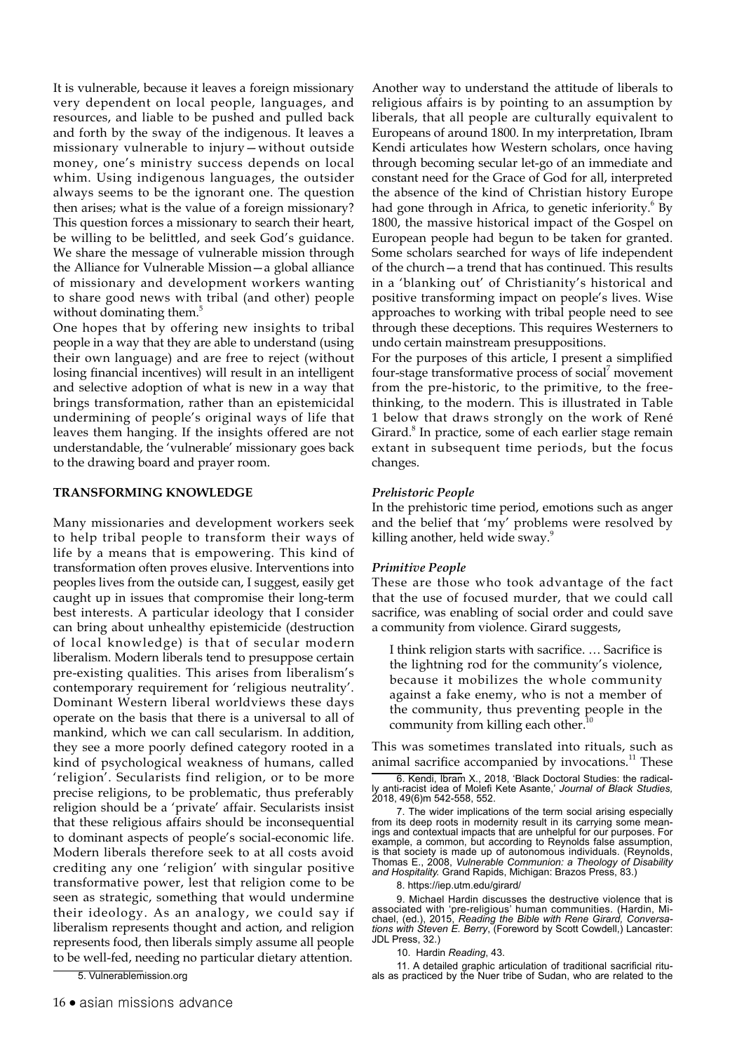It is vulnerable, because it leaves a foreign missionary very dependent on local people, languages, and resources, and liable to be pushed and pulled back and forth by the sway of the indigenous. It leaves a missionary vulnerable to injury—without outside money, one's ministry success depends on local whim. Using indigenous languages, the outsider always seems to be the ignorant one. The question then arises; what is the value of a foreign missionary? This question forces a missionary to search their heart, be willing to be belittled, and seek God's guidance. We share the message of vulnerable mission through the Alliance for Vulnerable Mission—a global alliance of missionary and development workers wanting to share good news with tribal (and other) people without dominating them.<sup>5</sup>

One hopes that by offering new insights to tribal people in a way that they are able to understand (using their own language) and are free to reject (without losing financial incentives) will result in an intelligent and selective adoption of what is new in a way that brings transformation, rather than an epistemicidal undermining of people's original ways of life that leaves them hanging. If the insights offered are not understandable, the 'vulnerable' missionary goes back to the drawing board and prayer room.

#### **TRANSFORMING KNOWLEDGE**

Many missionaries and development workers seek to help tribal people to transform their ways of life by a means that is empowering. This kind of transformation often proves elusive. Interventions into peoples lives from the outside can, I suggest, easily get caught up in issues that compromise their long-term best interests. A particular ideology that I consider can bring about unhealthy epistemicide (destruction of local knowledge) is that of secular modern liberalism. Modern liberals tend to presuppose certain pre-existing qualities. This arises from liberalism's contemporary requirement for 'religious neutrality'. Dominant Western liberal worldviews these days operate on the basis that there is a universal to all of mankind, which we can call secularism. In addition, they see a more poorly defined category rooted in a kind of psychological weakness of humans, called 'religion'. Secularists find religion, or to be more precise religions, to be problematic, thus preferably religion should be a 'private' affair. Secularists insist that these religious affairs should be inconsequential to dominant aspects of people's social-economic life. Modern liberals therefore seek to at all costs avoid crediting any one 'religion' with singular positive transformative power, lest that religion come to be seen as strategic, something that would undermine their ideology. As an analogy, we could say if liberalism represents thought and action, and religion represents food, then liberals simply assume all people to be well-fed, needing no particular dietary attention.

5. Vulnerablemission.org

Another way to understand the attitude of liberals to religious affairs is by pointing to an assumption by liberals, that all people are culturally equivalent to Europeans of around 1800. In my interpretation, Ibram Kendi articulates how Western scholars, once having through becoming secular let-go of an immediate and constant need for the Grace of God for all, interpreted the absence of the kind of Christian history Europe had gone through in Africa, to genetic inferiority.<sup>6</sup> By 1800, the massive historical impact of the Gospel on European people had begun to be taken for granted. Some scholars searched for ways of life independent of the church—a trend that has continued. This results in a 'blanking out' of Christianity's historical and positive transforming impact on people's lives. Wise approaches to working with tribal people need to see through these deceptions. This requires Westerners to undo certain mainstream presuppositions.

For the purposes of this article, I present a simplified four-stage transformative process of social<sup>7</sup> movement from the pre-historic, to the primitive, to the freethinking, to the modern. This is illustrated in Table 1 below that draws strongly on the work of René Girard.<sup>8</sup> In practice, some of each earlier stage remain extant in subsequent time periods, but the focus changes.

#### *Prehistoric People*

In the prehistoric time period, emotions such as anger and the belief that 'my' problems were resolved by killing another, held wide sway.<sup>9</sup>

#### *Primitive People*

These are those who took advantage of the fact that the use of focused murder, that we could call sacrifice, was enabling of social order and could save a community from violence. Girard suggests,

I think religion starts with sacrifice. … Sacrifice is the lightning rod for the community's violence, because it mobilizes the whole community against a fake enemy, who is not a member of the community, thus preventing people in the community from killing each other.

This was sometimes translated into rituals, such as animal sacrifice accompanied by invocations.<sup>11</sup> These

8.<https://iep.utm.edu/girard/>

9. Michael Hardin discusses the destructive violence that is associated with 'pre-religious' human communities. (Hardin, Michael, (ed.), 2015, *Reading the Bible with Rene Girard, Conversations with Steven E. Berry*, (Foreword by Scott Cowdell,) Lancaster: JDL Press, 32.)

10. Hardin *Reading*, 43.

11. A detailed graphic articulation of traditional sacrificial rituals as practiced by the Nuer tribe of Sudan, who are related to the

<sup>6.</sup> Kendi, Ibram X., 2018, 'Black Doctoral Studies: the radically anti-racist idea of Molefi Kete Asante,' *Journal of Black Studies,* 2018, 49(6)m 542-558, 552.

<sup>7.</sup> The wider implications of the term social arising especially from its deep roots in modernity result in its carrying some meanings and contextual impacts that are unhelpful for our purposes. For example, a common, but according to Reynolds false assumption, is that society is made up of autonomous individuals. (Reynolds, Thomas E., 2008, *Vulnerable Communion: a Theology of Disability and Hospitality.* Grand Rapids, Michigan: Brazos Press, 83.)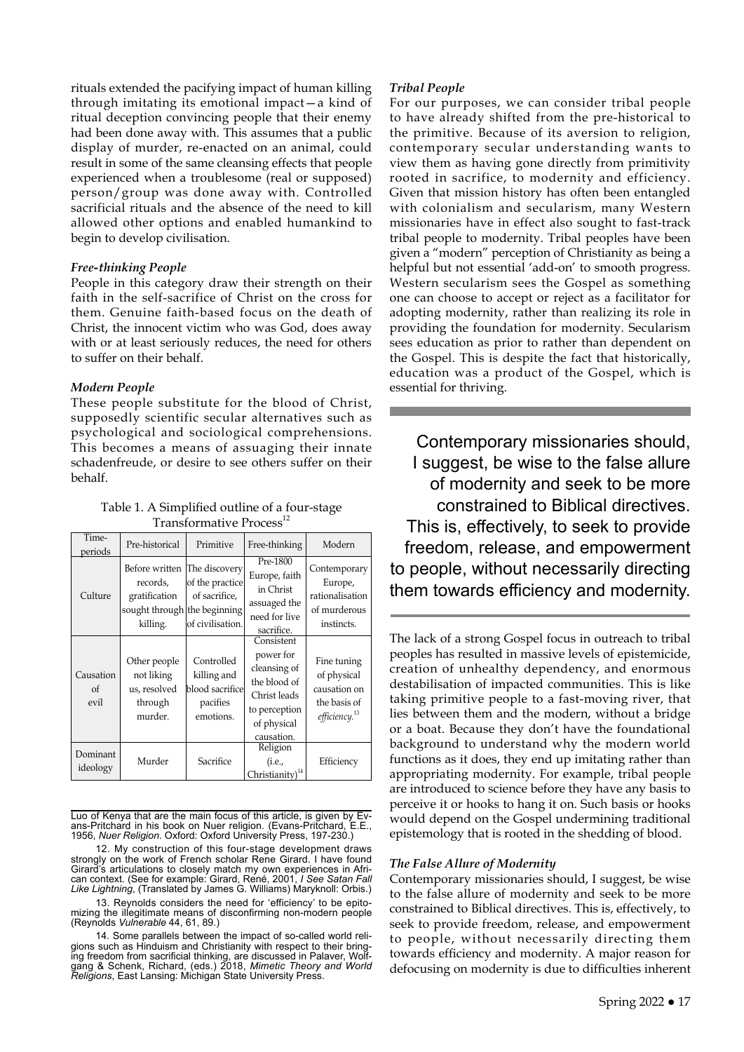rituals extended the pacifying impact of human killing through imitating its emotional impact—a kind of ritual deception convincing people that their enemy had been done away with. This assumes that a public display of murder, re-enacted on an animal, could result in some of the same cleansing effects that people experienced when a troublesome (real or supposed) person/group was done away with. Controlled sacrificial rituals and the absence of the need to kill allowed other options and enabled humankind to begin to develop civilisation.

#### *Free-thinking People*

People in this category draw their strength on their faith in the self-sacrifice of Christ on the cross for them. Genuine faith-based focus on the death of Christ, the innocent victim who was God, does away with or at least seriously reduces, the need for others to suffer on their behalf.

#### *Modern People*

These people substitute for the blood of Christ, supposedly scientific secular alternatives such as psychological and sociological comprehensions. This becomes a means of assuaging their innate schadenfreude, or desire to see others suffer on their behalf.

Table 1. A Simplified outline of a four-stage Transformative Process<sup>12</sup>

| Time-<br>periods        | Pre-historical                                                                          | Primitive                                                             | Free-thinking                                                                                                         | Modern                                                                                  |
|-------------------------|-----------------------------------------------------------------------------------------|-----------------------------------------------------------------------|-----------------------------------------------------------------------------------------------------------------------|-----------------------------------------------------------------------------------------|
| Culture                 | Before written<br>records,<br>gratification<br>sought through the beginning<br>killing. | The discovery<br>of the practice<br>of sacrifice,<br>of civilisation. | Pre-1800<br>Europe, faith<br>in Christ<br>assuaged the<br>need for live<br>sacrifice.                                 | Contemporary<br>Europe,<br>rationalisation<br>of murderous<br>instincts.                |
| Causation<br>of<br>evil | Other people<br>not liking<br>us, resolved<br>through<br>murder.                        | Controlled<br>killing and<br>blood sacrifice<br>pacifies<br>emotions. | Consistent<br>power for<br>cleansing of<br>the blood of<br>Christ leads<br>to perception<br>of physical<br>causation. | Fine tuning<br>of physical<br>causation on<br>the basis of<br>efficiency. <sup>13</sup> |
| Dominant<br>ideology    | Murder                                                                                  | Sacrifice                                                             | Religion<br>(i.e.,<br>Christianity) $14$                                                                              | Efficiency                                                                              |

Luo of Kenya that are the main focus of this article, is given by Evans-Pritchard in his book on Nuer religion. (Evans-Pritchard, E.E., 1956, *Nuer Religion*. Oxford: Oxford University Press, 197-230.)

12. My construction of this four-stage development draws strongly on the work of French scholar Rene Girard. I have found Girard's articulations to closely match my own experiences in African context. (See for example: Girard, René, 2001, *I See Satan Fall Like Lightning*, (Translated by James G. Williams) Maryknoll: Orbis.)

13. Reynolds considers the need for 'efficiency' to be epitomizing the illegitimate means of disconfirming non-modern people (Reynolds *Vulnerable* 44, 61, 89.)

14. Some parallels between the impact of so-called world religions such as Hinduism and Christianity with respect to their bringing freedom from sacrificial thinking, are discussed in Palaver, Wolfgang & Schenk, Richard, (eds.) 2018, *Mimetic Theory and World Religions*, East Lansing: Michigan State University Press.

#### *Tribal People*

For our purposes, we can consider tribal people to have already shifted from the pre-historical to the primitive. Because of its aversion to religion, contemporary secular understanding wants to view them as having gone directly from primitivity rooted in sacrifice, to modernity and efficiency. Given that mission history has often been entangled with colonialism and secularism, many Western missionaries have in effect also sought to fast-track tribal people to modernity. Tribal peoples have been given a "modern" perception of Christianity as being a helpful but not essential 'add-on' to smooth progress. Western secularism sees the Gospel as something one can choose to accept or reject as a facilitator for adopting modernity, rather than realizing its role in providing the foundation for modernity. Secularism sees education as prior to rather than dependent on the Gospel. This is despite the fact that historically, education was a product of the Gospel, which is essential for thriving.

Contemporary missionaries should, I suggest, be wise to the false allure of modernity and seek to be more constrained to Biblical directives. This is, effectively, to seek to provide freedom, release, and empowerment to people, without necessarily directing them towards efficiency and modernity.

The lack of a strong Gospel focus in outreach to tribal peoples has resulted in massive levels of epistemicide, creation of unhealthy dependency, and enormous destabilisation of impacted communities. This is like taking primitive people to a fast-moving river, that lies between them and the modern, without a bridge or a boat. Because they don't have the foundational background to understand why the modern world functions as it does, they end up imitating rather than appropriating modernity. For example, tribal people are introduced to science before they have any basis to perceive it or hooks to hang it on. Such basis or hooks would depend on the Gospel undermining traditional epistemology that is rooted in the shedding of blood.

#### *The False Allure of Modernity*

Contemporary missionaries should, I suggest, be wise to the false allure of modernity and seek to be more constrained to Biblical directives. This is, effectively, to seek to provide freedom, release, and empowerment to people, without necessarily directing them towards efficiency and modernity. A major reason for defocusing on modernity is due to difficulties inherent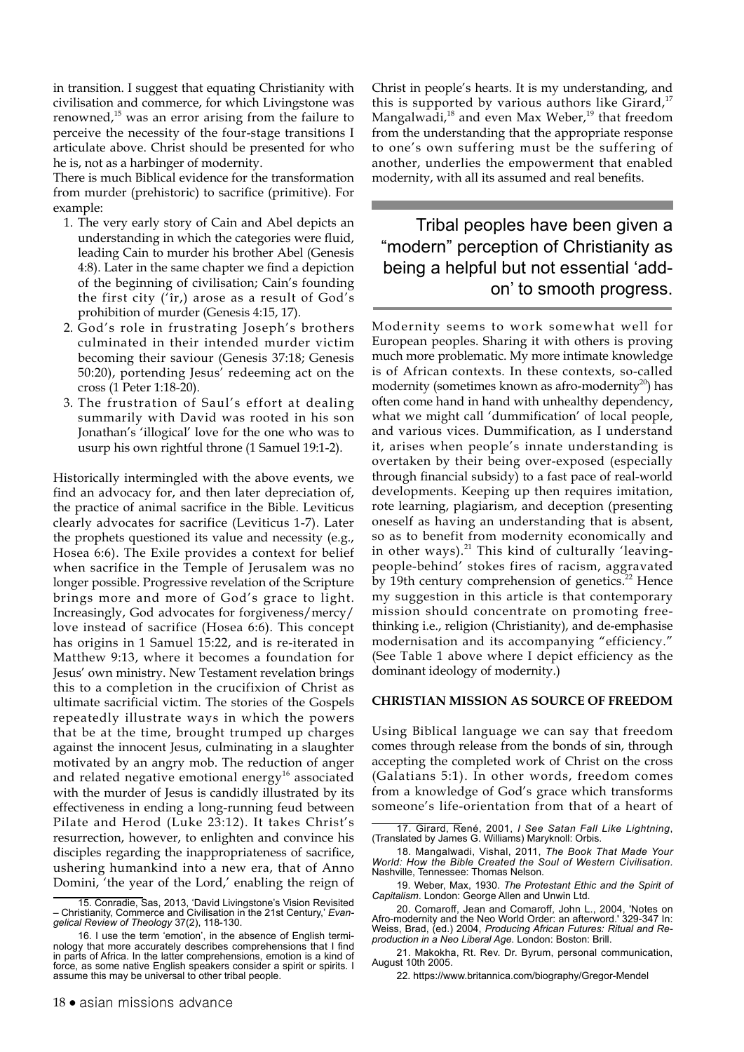in transition. I suggest that equating Christianity with civilisation and commerce, for which Livingstone was renowned, $15$  was an error arising from the failure to perceive the necessity of the four-stage transitions I articulate above. Christ should be presented for who he is, not as a harbinger of modernity.

There is much Biblical evidence for the transformation from murder (prehistoric) to sacrifice (primitive). For example:

- 1. The very early story of Cain and Abel depicts an understanding in which the categories were fluid, leading Cain to murder his brother Abel (Genesis 4:8). Later in the same chapter we find a depiction of the beginning of civilisation; Cain's founding the first city ('îr,) arose as a result of God's prohibition of murder (Genesis 4:15, 17).
- 2. God's role in frustrating Joseph's brothers culminated in their intended murder victim becoming their saviour (Genesis 37:18; Genesis 50:20), portending Jesus' redeeming act on the cross (1 Peter 1:18-20).
- 3. The frustration of Saul's effort at dealing summarily with David was rooted in his son Jonathan's 'illogical' love for the one who was to usurp his own rightful throne (1 Samuel 19:1-2).

Historically intermingled with the above events, we find an advocacy for, and then later depreciation of, the practice of animal sacrifice in the Bible. Leviticus clearly advocates for sacrifice (Leviticus 1-7). Later the prophets questioned its value and necessity (e.g., Hosea 6:6). The Exile provides a context for belief when sacrifice in the Temple of Jerusalem was no longer possible. Progressive revelation of the Scripture brings more and more of God's grace to light. Increasingly, God advocates for forgiveness/mercy/ love instead of sacrifice (Hosea 6:6). This concept has origins in 1 Samuel 15:22, and is re-iterated in Matthew 9:13, where it becomes a foundation for Jesus' own ministry. New Testament revelation brings this to a completion in the crucifixion of Christ as ultimate sacrificial victim. The stories of the Gospels repeatedly illustrate ways in which the powers that be at the time, brought trumped up charges against the innocent Jesus, culminating in a slaughter motivated by an angry mob. The reduction of anger and related negative emotional energy<sup>16</sup> associated with the murder of Jesus is candidly illustrated by its effectiveness in ending a long-running feud between Pilate and Herod (Luke 23:12). It takes Christ's resurrection, however, to enlighten and convince his disciples regarding the inappropriateness of sacrifice, ushering humankind into a new era, that of Anno Domini, 'the year of the Lord,' enabling the reign of Christ in people's hearts. It is my understanding, and this is supported by various authors like Girard, $17$ Mangalwadi,<sup>18</sup> and even Max Weber,<sup>19</sup> that freedom from the understanding that the appropriate response to one's own suffering must be the suffering of another, underlies the empowerment that enabled modernity, with all its assumed and real benefits.

## Tribal peoples have been given a "modern" perception of Christianity as being a helpful but not essential 'addon' to smooth progress.

Modernity seems to work somewhat well for European peoples. Sharing it with others is proving much more problematic. My more intimate knowledge is of African contexts. In these contexts, so-called modernity (sometimes known as afro-modernity<sup>20</sup>) has often come hand in hand with unhealthy dependency, what we might call 'dummification' of local people, and various vices. Dummification, as I understand it, arises when people's innate understanding is overtaken by their being over-exposed (especially through financial subsidy) to a fast pace of real-world developments. Keeping up then requires imitation, rote learning, plagiarism, and deception (presenting oneself as having an understanding that is absent, so as to benefit from modernity economically and in other ways). $^{21}$  This kind of culturally 'leavingpeople-behind' stokes fires of racism, aggravated by 19th century comprehension of genetics. $^{22}$  Hence my suggestion in this article is that contemporary mission should concentrate on promoting freethinking i.e., religion (Christianity), and de-emphasise modernisation and its accompanying "efficiency." (See Table 1 above where I depict efficiency as the dominant ideology of modernity.)

#### **CHRISTIAN MISSION AS SOURCE OF FREEDOM**

Using Biblical language we can say that freedom comes through release from the bonds of sin, through accepting the completed work of Christ on the cross (Galatians 5:1). In other words, freedom comes from a knowledge of God's grace which transforms someone's life-orientation from that of a heart of

<sup>15.</sup> Conradie, Sas, 2013, 'David Livingstone's Vision Revisited – Christianity, Commerce and Civilisation in the 21st Century,' *Evangelical Review of Theology* 37(2), 118-130.

<sup>16.</sup> I use the term 'emotion', in the absence of English terminology that more accurately describes comprehensions that I find in parts of Africa. In the latter comprehensions, emotion is a kind of force, as some native English speakers consider a spirit or spirits. I assume this may be universal to other tribal people.

<sup>17.</sup> Girard, René, 2001, *I See Satan Fall Like Lightning*, (Translated by James G. Williams) Maryknoll: Orbis.

<sup>18.</sup> Mangalwadi, Vishal, 2011, *The Book That Made Your World: How the Bible Created the Soul of Western Civilisation.* Nashville, Tennessee: Thomas Nelson.

<sup>19.</sup> Weber, Max, 1930. *The Protestant Ethic and the Spirit of Capitalism*. London: George Allen and Unwin Ltd.

<sup>20.</sup> Comaroff, Jean and Comaroff, John L., 2004, 'Notes on Afro-modernity and the Neo World Order: an afterword.' 329-347 In: Weiss, Brad, (ed.) 2004, *Producing African Futures: Ritual and Reproduction in a Neo Liberal Age*. London: Boston: Brill.

<sup>21.</sup> Makokha, Rt. Rev. Dr. Byrum, personal communication, August 10th 2005.

<sup>22.</sup> <https://www.britannica.com/biography/Gregor-Mendel>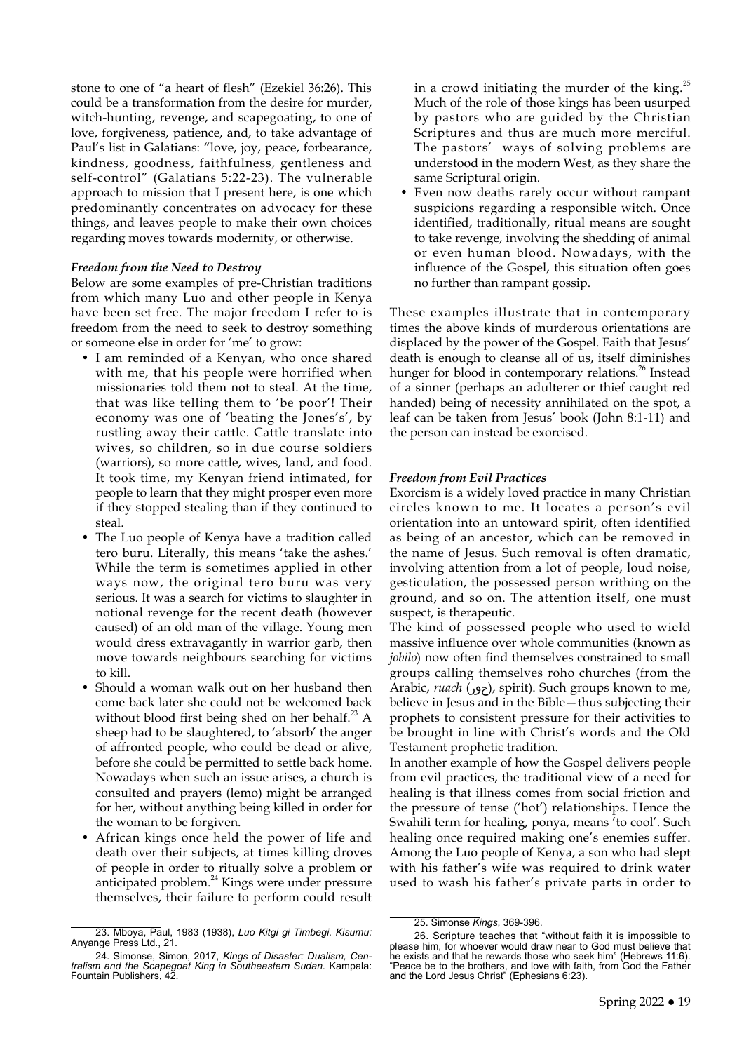stone to one of "a heart of flesh" (Ezekiel 36:26). This could be a transformation from the desire for murder, witch-hunting, revenge, and scapegoating, to one of love, forgiveness, patience, and, to take advantage of Paul's list in Galatians: "love, joy, peace, forbearance, kindness, goodness, faithfulness, gentleness and self-control" (Galatians 5:22-23). The vulnerable approach to mission that I present here, is one which predominantly concentrates on advocacy for these things, and leaves people to make their own choices regarding moves towards modernity, or otherwise.

#### *Freedom from the Need to Destroy*

Below are some examples of pre-Christian traditions from which many Luo and other people in Kenya have been set free. The major freedom I refer to is freedom from the need to seek to destroy something or someone else in order for 'me' to grow:

- I am reminded of a Kenyan, who once shared with me, that his people were horrified when missionaries told them not to steal. At the time, that was like telling them to 'be poor'! Their economy was one of 'beating the Jones's', by rustling away their cattle. Cattle translate into wives, so children, so in due course soldiers (warriors), so more cattle, wives, land, and food. It took time, my Kenyan friend intimated, for people to learn that they might prosper even more if they stopped stealing than if they continued to steal.
- The Luo people of Kenya have a tradition called tero buru. Literally, this means 'take the ashes.' While the term is sometimes applied in other ways now, the original tero buru was very serious. It was a search for victims to slaughter in notional revenge for the recent death (however caused) of an old man of the village. Young men would dress extravagantly in warrior garb, then move towards neighbours searching for victims to kill.
- Should a woman walk out on her husband then come back later she could not be welcomed back without blood first being shed on her behalf. $^{23}$  A sheep had to be slaughtered, to 'absorb' the anger of affronted people, who could be dead or alive, before she could be permitted to settle back home. Nowadays when such an issue arises, a church is consulted and prayers (lemo) might be arranged for her, without anything being killed in order for the woman to be forgiven.
- African kings once held the power of life and death over their subjects, at times killing droves of people in order to ritually solve a problem or anticipated problem.24 Kings were under pressure themselves, their failure to perform could result

in a crowd initiating the murder of the king. $^{25}$ Much of the role of those kings has been usurped by pastors who are guided by the Christian Scriptures and thus are much more merciful. The pastors' ways of solving problems are understood in the modern West, as they share the same Scriptural origin.

• Even now deaths rarely occur without rampant suspicions regarding a responsible witch. Once identified, traditionally, ritual means are sought to take revenge, involving the shedding of animal or even human blood. Nowadays, with the influence of the Gospel, this situation often goes no further than rampant gossip.

These examples illustrate that in contemporary times the above kinds of murderous orientations are displaced by the power of the Gospel. Faith that Jesus' death is enough to cleanse all of us, itself diminishes hunger for blood in contemporary relations.<sup>26</sup> Instead of a sinner (perhaps an adulterer or thief caught red handed) being of necessity annihilated on the spot, a leaf can be taken from Jesus' book (John 8:1-11) and the person can instead be exorcised.

#### *Freedom from Evil Practices*

Exorcism is a widely loved practice in many Christian circles known to me. It locates a person's evil orientation into an untoward spirit, often identified as being of an ancestor, which can be removed in the name of Jesus. Such removal is often dramatic, involving attention from a lot of people, loud noise, gesticulation, the possessed person writhing on the ground, and so on. The attention itself, one must suspect, is therapeutic.

The kind of possessed people who used to wield massive influence over whole communities (known as *jobilo*) now often find themselves constrained to small groups calling themselves roho churches (from the Arabic, *ruach* (حور), spirit). Such groups known to me, believe in Jesus and in the Bible—thus subjecting their prophets to consistent pressure for their activities to be brought in line with Christ's words and the Old Testament prophetic tradition.

In another example of how the Gospel delivers people from evil practices, the traditional view of a need for healing is that illness comes from social friction and the pressure of tense ('hot') relationships. Hence the Swahili term for healing, ponya, means 'to cool'. Such healing once required making one's enemies suffer. Among the Luo people of Kenya, a son who had slept with his father's wife was required to drink water used to wash his father's private parts in order to

<sup>23.</sup> Mboya, Paul, 1983 (1938), *Luo Kitgi gi Timbegi. Kisumu:*  Anyange Press Ltd., 21.

<sup>24.</sup> Simonse, Simon, 2017, *Kings of Disaster: Dualism, Cen-tralism and the Scapegoat King in Southeastern Sudan.* Kampala: Fountain Publishers, 42.

<sup>25.</sup> Simonse *Kings*, 369-396.

<sup>26.</sup> Scripture teaches that "without faith it is impossible to please him, for whoever would draw near to God must believe that he exists and that he rewards those who seek him" (Hebrews 11:6). "Peace be to the brothers, and love with faith, from God the Father and the Lord Jesus Christ" (Ephesians 6:23).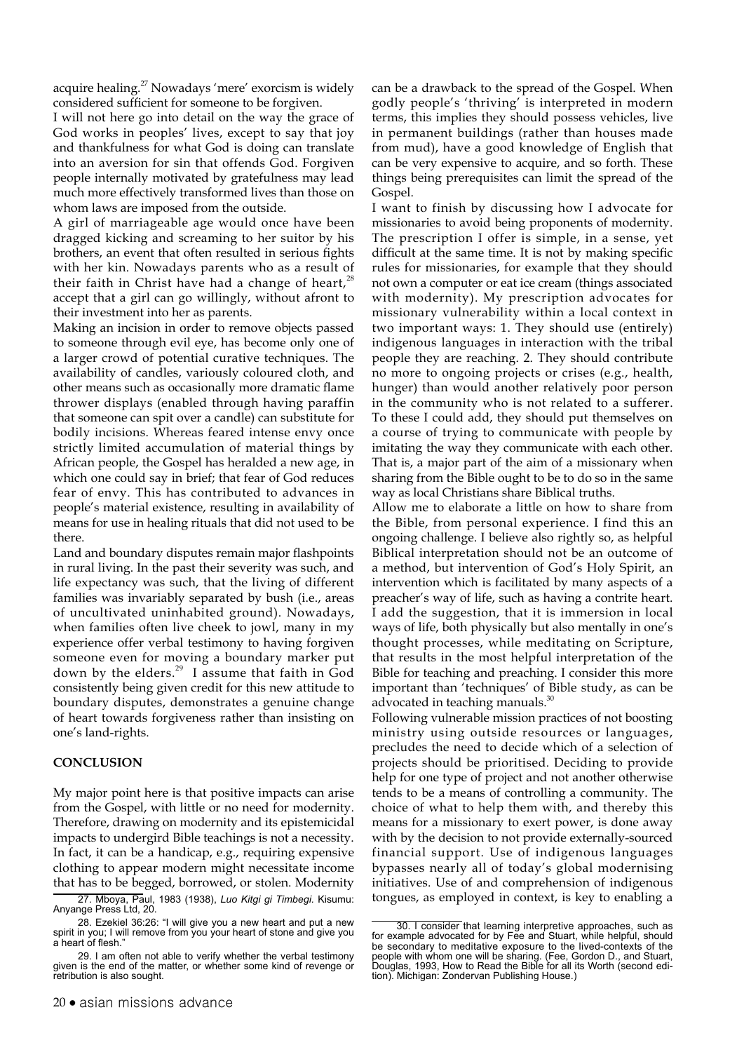acquire healing.<sup>27</sup> Nowadays 'mere' exorcism is widely considered sufficient for someone to be forgiven.

I will not here go into detail on the way the grace of God works in peoples' lives, except to say that joy and thankfulness for what God is doing can translate into an aversion for sin that offends God. Forgiven people internally motivated by gratefulness may lead much more effectively transformed lives than those on whom laws are imposed from the outside.

A girl of marriageable age would once have been dragged kicking and screaming to her suitor by his brothers, an event that often resulted in serious fights with her kin. Nowadays parents who as a result of their faith in Christ have had a change of heart,<sup>28</sup> accept that a girl can go willingly, without afront to their investment into her as parents.

Making an incision in order to remove objects passed to someone through evil eye, has become only one of a larger crowd of potential curative techniques. The availability of candles, variously coloured cloth, and other means such as occasionally more dramatic flame thrower displays (enabled through having paraffin that someone can spit over a candle) can substitute for bodily incisions. Whereas feared intense envy once strictly limited accumulation of material things by African people, the Gospel has heralded a new age, in which one could say in brief; that fear of God reduces fear of envy. This has contributed to advances in people's material existence, resulting in availability of means for use in healing rituals that did not used to be there.

Land and boundary disputes remain major flashpoints in rural living. In the past their severity was such, and life expectancy was such, that the living of different families was invariably separated by bush (i.e., areas of uncultivated uninhabited ground). Nowadays, when families often live cheek to jowl, many in my experience offer verbal testimony to having forgiven someone even for moving a boundary marker put down by the elders.<sup>29</sup> I assume that faith in God consistently being given credit for this new attitude to boundary disputes, demonstrates a genuine change of heart towards forgiveness rather than insisting on one's land-rights.

#### **CONCLUSION**

My major point here is that positive impacts can arise from the Gospel, with little or no need for modernity. Therefore, drawing on modernity and its epistemicidal impacts to undergird Bible teachings is not a necessity. In fact, it can be a handicap, e.g., requiring expensive clothing to appear modern might necessitate income that has to be begged, borrowed, or stolen. Modernity

can be a drawback to the spread of the Gospel. When godly people's 'thriving' is interpreted in modern terms, this implies they should possess vehicles, live in permanent buildings (rather than houses made from mud), have a good knowledge of English that can be very expensive to acquire, and so forth. These things being prerequisites can limit the spread of the Gospel.

I want to finish by discussing how I advocate for missionaries to avoid being proponents of modernity. The prescription I offer is simple, in a sense, yet difficult at the same time. It is not by making specific rules for missionaries, for example that they should not own a computer or eat ice cream (things associated with modernity). My prescription advocates for missionary vulnerability within a local context in two important ways: 1. They should use (entirely) indigenous languages in interaction with the tribal people they are reaching. 2. They should contribute no more to ongoing projects or crises (e.g., health, hunger) than would another relatively poor person in the community who is not related to a sufferer. To these I could add, they should put themselves on a course of trying to communicate with people by imitating the way they communicate with each other. That is, a major part of the aim of a missionary when sharing from the Bible ought to be to do so in the same way as local Christians share Biblical truths.

Allow me to elaborate a little on how to share from the Bible, from personal experience. I find this an ongoing challenge. I believe also rightly so, as helpful Biblical interpretation should not be an outcome of a method, but intervention of God's Holy Spirit, an intervention which is facilitated by many aspects of a preacher's way of life, such as having a contrite heart. I add the suggestion, that it is immersion in local ways of life, both physically but also mentally in one's thought processes, while meditating on Scripture, that results in the most helpful interpretation of the Bible for teaching and preaching. I consider this more important than 'techniques' of Bible study, as can be advocated in teaching manuals. $30$ 

Following vulnerable mission practices of not boosting ministry using outside resources or languages, precludes the need to decide which of a selection of projects should be prioritised. Deciding to provide help for one type of project and not another otherwise tends to be a means of controlling a community. The choice of what to help them with, and thereby this means for a missionary to exert power, is done away with by the decision to not provide externally-sourced financial support. Use of indigenous languages bypasses nearly all of today's global modernising initiatives. Use of and comprehension of indigenous tongues, as employed in context, is key to enabling a

<sup>27.</sup> Mboya, Paul, 1983 (1938), *Luo Kitgi gi Timbegi.* Kisumu: Anyange Press Ltd, 20.

<sup>28.</sup> Ezekiel 36:26: "I will give you a new heart and put a new spirit in you; I will remove from you your heart of stone and give you a heart of flesh."

<sup>29.</sup> I am often not able to verify whether the verbal testimony given is the end of the matter, or whether some kind of revenge or retribution is also sought.

<sup>30.</sup> I consider that learning interpretive approaches, such as for example advocated for by Fee and Stuart, while helpful, should be secondary to meditative exposure to the lived-contexts of the people with whom one will be sharing. (Fee, Gordon D., and Stuart, Douglas, 1993, How to Read the Bible for all its Worth (second edition). Michigan: Zondervan Publishing House.)